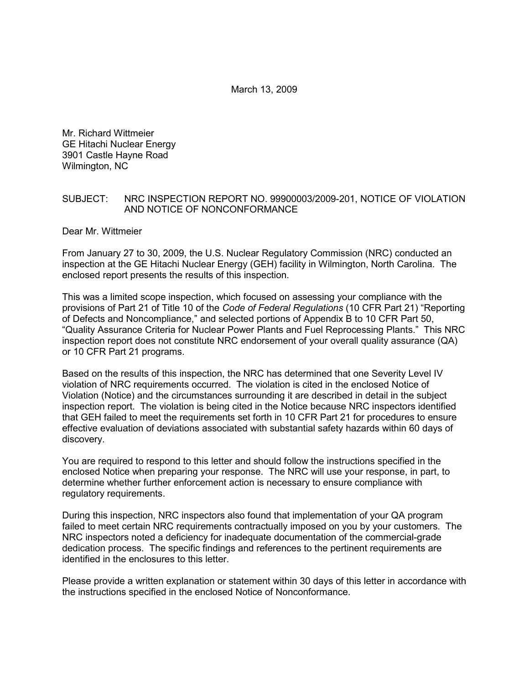March 13, 2009

Mr. Richard Wittmeier GE Hitachi Nuclear Energy 3901 Castle Hayne Road Wilmington, NC

#### SUBJECT: NRC INSPECTION REPORT NO. 99900003/2009-201, NOTICE OF VIOLATION AND NOTICE OF NONCONFORMANCE

Dear Mr. Wittmeier

From January 27 to 30, 2009, the U.S. Nuclear Regulatory Commission (NRC) conducted an inspection at the GE Hitachi Nuclear Energy (GEH) facility in Wilmington, North Carolina. The enclosed report presents the results of this inspection.

This was a limited scope inspection, which focused on assessing your compliance with the provisions of Part 21 of Title 10 of the *Code of Federal Regulations* (10 CFR Part 21) "Reporting of Defects and Noncompliance," and selected portions of Appendix B to 10 CFR Part 50, "Quality Assurance Criteria for Nuclear Power Plants and Fuel Reprocessing Plants." This NRC inspection report does not constitute NRC endorsement of your overall quality assurance (QA) or 10 CFR Part 21 programs.

Based on the results of this inspection, the NRC has determined that one Severity Level IV violation of NRC requirements occurred. The violation is cited in the enclosed Notice of Violation (Notice) and the circumstances surrounding it are described in detail in the subject inspection report. The violation is being cited in the Notice because NRC inspectors identified that GEH failed to meet the requirements set forth in 10 CFR Part 21 for procedures to ensure effective evaluation of deviations associated with substantial safety hazards within 60 days of discovery.

You are required to respond to this letter and should follow the instructions specified in the enclosed Notice when preparing your response. The NRC will use your response, in part, to determine whether further enforcement action is necessary to ensure compliance with regulatory requirements.

During this inspection, NRC inspectors also found that implementation of your QA program failed to meet certain NRC requirements contractually imposed on you by your customers. The NRC inspectors noted a deficiency for inadequate documentation of the commercial-grade dedication process. The specific findings and references to the pertinent requirements are identified in the enclosures to this letter.

Please provide a written explanation or statement within 30 days of this letter in accordance with the instructions specified in the enclosed Notice of Nonconformance.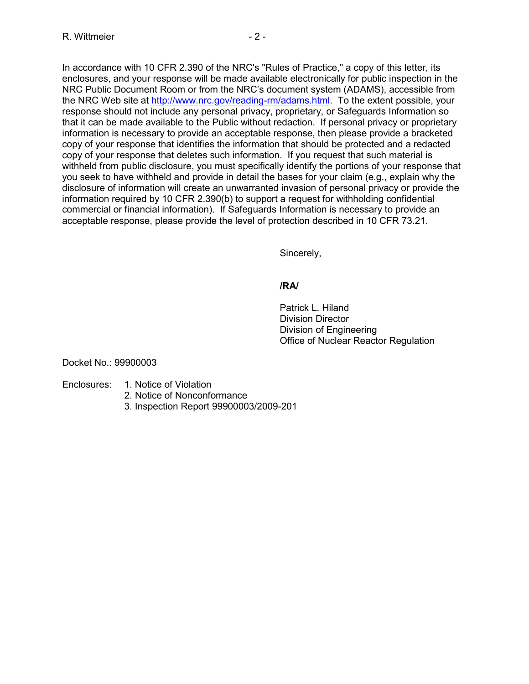In accordance with 10 CFR 2.390 of the NRC's "Rules of Practice," a copy of this letter, its enclosures, and your response will be made available electronically for public inspection in the NRC Public Document Room or from the NRC's document system (ADAMS), accessible from the NRC Web site at http://www.nrc.gov/reading-rm/adams.html. To the extent possible, your response should not include any personal privacy, proprietary, or Safeguards Information so that it can be made available to the Public without redaction. If personal privacy or proprietary information is necessary to provide an acceptable response, then please provide a bracketed copy of your response that identifies the information that should be protected and a redacted copy of your response that deletes such information. If you request that such material is withheld from public disclosure, you must specifically identify the portions of your response that you seek to have withheld and provide in detail the bases for your claim (e.g., explain why the disclosure of information will create an unwarranted invasion of personal privacy or provide the information required by 10 CFR 2.390(b) to support a request for withholding confidential commercial or financial information). If Safeguards Information is necessary to provide an acceptable response, please provide the level of protection described in 10 CFR 73.21.

Sincerely,

## **/RA/**

 Patrick L. Hiland Division Director Division of Engineering Office of Nuclear Reactor Regulation

## Docket No.: 99900003

## Enclosures: 1. Notice of Violation

- 2. Notice of Nonconformance
- 3. Inspection Report 99900003/2009-201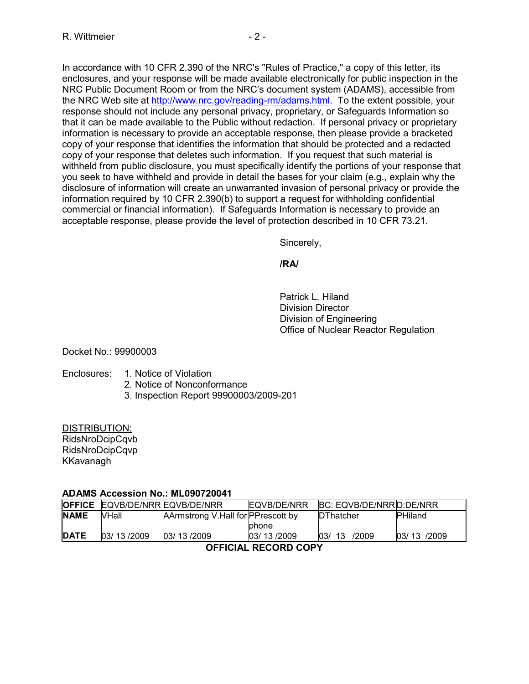In accordance with 10 CFR 2.390 of the NRC's "Rules of Practice," a copy of this letter, its enclosures, and your response will be made available electronically for public inspection in the NRC Public Document Room or from the NRC's document system (ADAMS), accessible from the NRC Web site at http://www.nrc.gov/reading-rm/adams.html. To the extent possible, your response should not include any personal privacy, proprietary, or Safeguards Information so that it can be made available to the Public without redaction. If personal privacy or proprietary information is necessary to provide an acceptable response, then please provide a bracketed copy of your response that identifies the information that should be protected and a redacted copy of your response that deletes such information. If you request that such material is withheld from public disclosure, you must specifically identify the portions of your response that you seek to have withheld and provide in detail the bases for your claim (e.g., explain why the disclosure of information will create an unwarranted invasion of personal privacy or provide the information required by 10 CFR 2.390(b) to support a request for withholding confidential commercial or financial information). If Safeguards Information is necessary to provide an acceptable response, please provide the level of protection described in 10 CFR 73.21.

Sincerely,

## **/RA/**

 Patrick L. Hiland Division Director Division of Engineering Office of Nuclear Reactor Regulation

Docket No.: 99900003

## Enclosures: 1. Notice of Violation

- 2. Notice of Nonconformance
- 3. Inspection Report 99900003/2009-201

## DISTRIBUTION:

RidsNroDcipCqvb RidsNroDcipCqvp KKavanagh

## **ADAMS Accession No.: ML090720041**

| <b>OFFICE EQVB/DE/NRR EQVB/DE/NRR</b>                       | BC: EQVB/DE/NRRID:DE/NRR<br>EQVB/DE/NRR |
|-------------------------------------------------------------|-----------------------------------------|
| <b>INAME</b><br>VHall<br>AArmstrong V.Hall for PPrescott by | <b>PHiland</b><br><b>DThatcher</b>      |
| phone                                                       |                                         |
| <b>DATE</b><br>03/13/2009<br>03/13/2009<br>03/13/2009       | /2009<br>03/13/2009<br>03/<br>13        |

## **OFFICIAL RECORD COPY**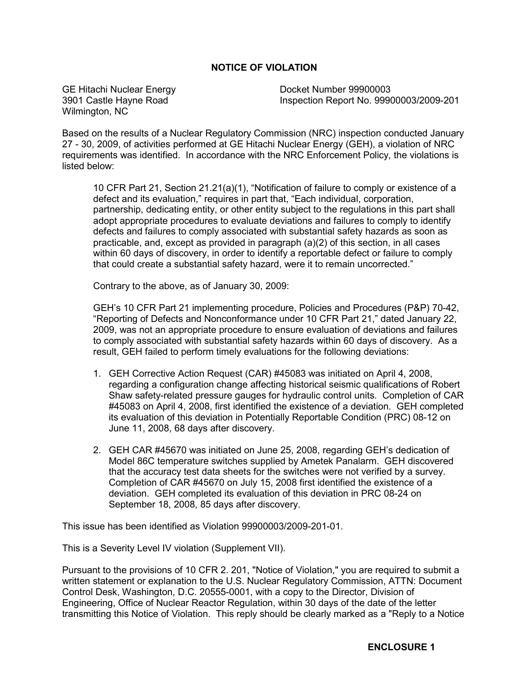## **NOTICE OF VIOLATION**

GE Hitachi Nuclear Energy 3901 Castle Hayne Road Wilmington, NC

Docket Number 99900003 Inspection Report No. 99900003/2009-201

Based on the results of a Nuclear Regulatory Commission (NRC) inspection conducted January 27 - 30, 2009, of activities performed at GE Hitachi Nuclear Energy (GEH), a violation of NRC requirements was identified. In accordance with the NRC Enforcement Policy, the violations is listed below:

10 CFR Part 21, Section 21.21(a)(1), "Notification of failure to comply or existence of a defect and its evaluation," requires in part that, "Each individual, corporation, partnership, dedicating entity, or other entity subject to the regulations in this part shall adopt appropriate procedures to evaluate deviations and failures to comply to identify defects and failures to comply associated with substantial safety hazards as soon as practicable, and, except as provided in paragraph (a)(2) of this section, in all cases within 60 days of discovery, in order to identify a reportable defect or failure to comply that could create a substantial safety hazard, were it to remain uncorrected."

Contrary to the above, as of January 30, 2009:

GEH's 10 CFR Part 21 implementing procedure, Policies and Procedures (P&P) 70-42, "Reporting of Defects and Nonconformance under 10 CFR Part 21," dated January 22, 2009, was not an appropriate procedure to ensure evaluation of deviations and failures to comply associated with substantial safety hazards within 60 days of discovery. As a result, GEH failed to perform timely evaluations for the following deviations:

- 1. GEH Corrective Action Request (CAR) #45083 was initiated on April 4, 2008, regarding a configuration change affecting historical seismic qualifications of Robert Shaw safety-related pressure gauges for hydraulic control units. Completion of CAR #45083 on April 4, 2008, first identified the existence of a deviation. GEH completed its evaluation of this deviation in Potentially Reportable Condition (PRC) 08-12 on June 11, 2008, 68 days after discovery.
- 2. GEH CAR #45670 was initiated on June 25, 2008, regarding GEH's dedication of Model 86C temperature switches supplied by Ametek Panalarm. GEH discovered that the accuracy test data sheets for the switches were not verified by a survey. Completion of CAR #45670 on July 15, 2008 first identified the existence of a deviation. GEH completed its evaluation of this deviation in PRC 08-24 on September 18, 2008, 85 days after discovery.

This issue has been identified as Violation 99900003/2009-201-01.

This is a Severity Level IV violation (Supplement VII).

Pursuant to the provisions of 10 CFR 2. 201, "Notice of Violation," you are required to submit a written statement or explanation to the U.S. Nuclear Regulatory Commission, ATTN: Document Control Desk, Washington, D.C. 20555-0001, with a copy to the Director, Division of Engineering, Office of Nuclear Reactor Regulation, within 30 days of the date of the letter transmitting this Notice of Violation. This reply should be clearly marked as a "Reply to a Notice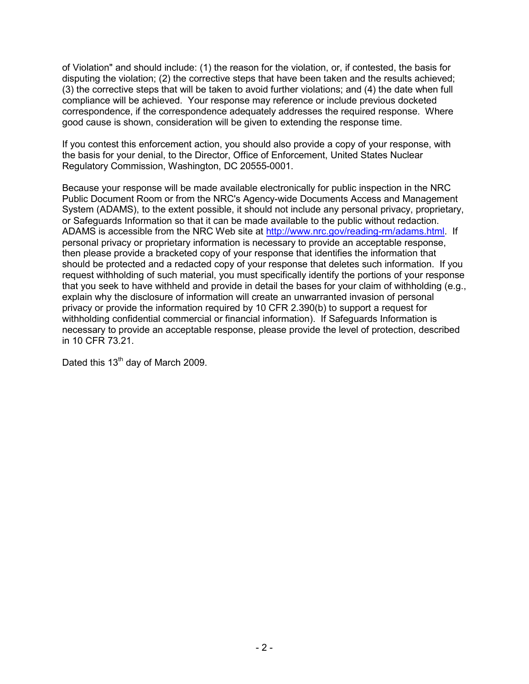of Violation" and should include: (1) the reason for the violation, or, if contested, the basis for disputing the violation; (2) the corrective steps that have been taken and the results achieved; (3) the corrective steps that will be taken to avoid further violations; and (4) the date when full compliance will be achieved. Your response may reference or include previous docketed correspondence, if the correspondence adequately addresses the required response. Where good cause is shown, consideration will be given to extending the response time.

If you contest this enforcement action, you should also provide a copy of your response, with the basis for your denial, to the Director, Office of Enforcement, United States Nuclear Regulatory Commission, Washington, DC 20555-0001.

Because your response will be made available electronically for public inspection in the NRC Public Document Room or from the NRC's Agency-wide Documents Access and Management System (ADAMS), to the extent possible, it should not include any personal privacy, proprietary, or Safeguards Information so that it can be made available to the public without redaction. ADAMS is accessible from the NRC Web site at http://www.nrc.gov/reading-rm/adams.html. If personal privacy or proprietary information is necessary to provide an acceptable response, then please provide a bracketed copy of your response that identifies the information that should be protected and a redacted copy of your response that deletes such information. If you request withholding of such material, you must specifically identify the portions of your response that you seek to have withheld and provide in detail the bases for your claim of withholding (e.g., explain why the disclosure of information will create an unwarranted invasion of personal privacy or provide the information required by 10 CFR 2.390(b) to support a request for withholding confidential commercial or financial information). If Safeguards Information is necessary to provide an acceptable response, please provide the level of protection, described in 10 CFR 73.21.

Dated this 13<sup>th</sup> day of March 2009.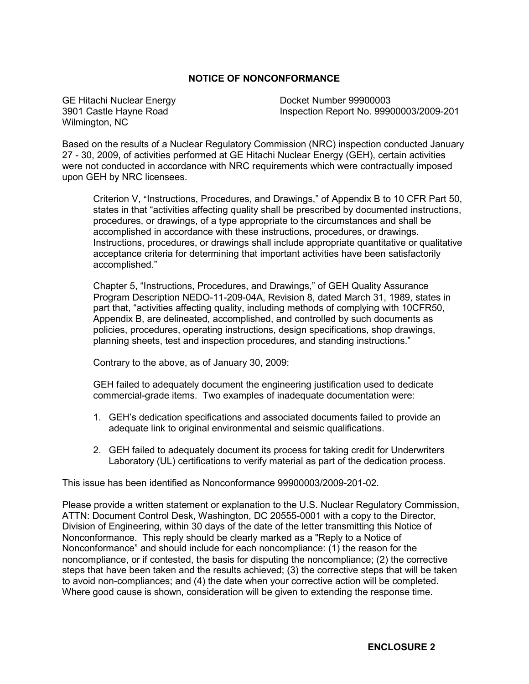## **NOTICE OF NONCONFORMANCE**

GE Hitachi Nuclear Energy 3901 Castle Hayne Road Wilmington, NC

Docket Number 99900003 Inspection Report No. 99900003/2009-201

Based on the results of a Nuclear Regulatory Commission (NRC) inspection conducted January 27 - 30, 2009, of activities performed at GE Hitachi Nuclear Energy (GEH), certain activities were not conducted in accordance with NRC requirements which were contractually imposed upon GEH by NRC licensees.

Criterion V, "Instructions, Procedures, and Drawings," of Appendix B to 10 CFR Part 50, states in that "activities affecting quality shall be prescribed by documented instructions, procedures, or drawings, of a type appropriate to the circumstances and shall be accomplished in accordance with these instructions, procedures, or drawings. Instructions, procedures, or drawings shall include appropriate quantitative or qualitative acceptance criteria for determining that important activities have been satisfactorily accomplished."

Chapter 5, "Instructions, Procedures, and Drawings," of GEH Quality Assurance Program Description NEDO-11-209-04A, Revision 8, dated March 31, 1989, states in part that, "activities affecting quality, including methods of complying with 10CFR50, Appendix B, are delineated, accomplished, and controlled by such documents as policies, procedures, operating instructions, design specifications, shop drawings, planning sheets, test and inspection procedures, and standing instructions."

Contrary to the above, as of January 30, 2009:

GEH failed to adequately document the engineering justification used to dedicate commercial-grade items. Two examples of inadequate documentation were:

- 1. GEH's dedication specifications and associated documents failed to provide an adequate link to original environmental and seismic qualifications.
- 2. GEH failed to adequately document its process for taking credit for Underwriters Laboratory (UL) certifications to verify material as part of the dedication process.

This issue has been identified as Nonconformance 99900003/2009-201-02.

Please provide a written statement or explanation to the U.S. Nuclear Regulatory Commission, ATTN: Document Control Desk, Washington, DC 20555-0001 with a copy to the Director, Division of Engineering, within 30 days of the date of the letter transmitting this Notice of Nonconformance. This reply should be clearly marked as a "Reply to a Notice of Nonconformance" and should include for each noncompliance: (1) the reason for the noncompliance, or if contested, the basis for disputing the noncompliance; (2) the corrective steps that have been taken and the results achieved; (3) the corrective steps that will be taken to avoid non-compliances; and (4) the date when your corrective action will be completed. Where good cause is shown, consideration will be given to extending the response time.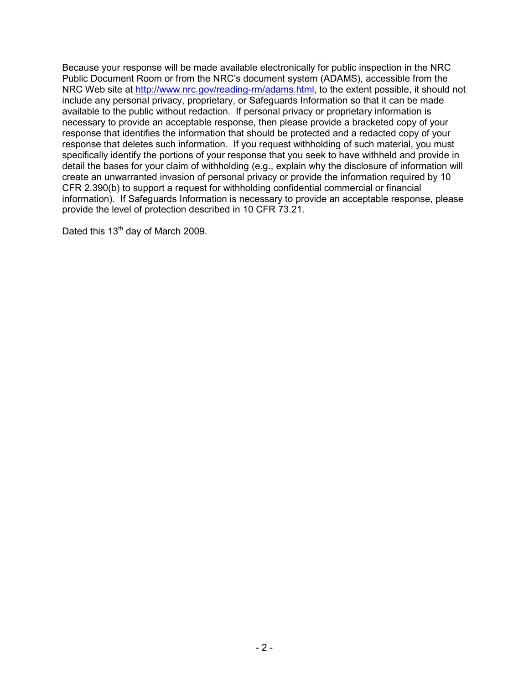Because your response will be made available electronically for public inspection in the NRC Public Document Room or from the NRC's document system (ADAMS), accessible from the NRC Web site at http://www.nrc.gov/reading-rm/adams.html, to the extent possible, it should not include any personal privacy, proprietary, or Safeguards Information so that it can be made available to the public without redaction. If personal privacy or proprietary information is necessary to provide an acceptable response, then please provide a bracketed copy of your response that identifies the information that should be protected and a redacted copy of your response that deletes such information. If you request withholding of such material, you must specifically identify the portions of your response that you seek to have withheld and provide in detail the bases for your claim of withholding (e.g., explain why the disclosure of information will create an unwarranted invasion of personal privacy or provide the information required by 10 CFR 2.390(b) to support a request for withholding confidential commercial or financial information). If Safeguards Information is necessary to provide an acceptable response, please provide the level of protection described in 10 CFR 73.21.

Dated this 13<sup>th</sup> day of March 2009.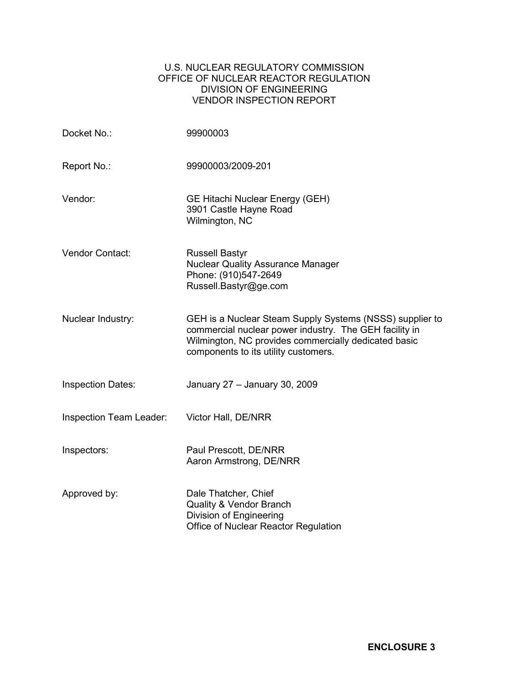## U.S. NUCLEAR REGULATORY COMMISSION OFFICE OF NUCLEAR REACTOR REGULATION DIVISION OF ENGINEERING VENDOR INSPECTION REPORT

| Docket No.:              | 99900003                                                                                                                                                                                                           |
|--------------------------|--------------------------------------------------------------------------------------------------------------------------------------------------------------------------------------------------------------------|
| Report No.:              | 99900003/2009-201                                                                                                                                                                                                  |
| Vendor:                  | <b>GE Hitachi Nuclear Energy (GEH)</b><br>3901 Castle Hayne Road<br>Wilmington, NC                                                                                                                                 |
| Vendor Contact:          | <b>Russell Bastyr</b><br><b>Nuclear Quality Assurance Manager</b><br>Phone: (910)547-2649<br>Russell.Bastyr@ge.com                                                                                                 |
| Nuclear Industry:        | GEH is a Nuclear Steam Supply Systems (NSSS) supplier to<br>commercial nuclear power industry. The GEH facility in<br>Wilmington, NC provides commercially dedicated basic<br>components to its utility customers. |
| <b>Inspection Dates:</b> | January 27 - January 30, 2009                                                                                                                                                                                      |
| Inspection Team Leader:  | Victor Hall, DE/NRR                                                                                                                                                                                                |
| Inspectors:              | Paul Prescott, DE/NRR<br>Aaron Armstrong, DE/NRR                                                                                                                                                                   |
| Approved by:             | Dale Thatcher, Chief<br><b>Quality &amp; Vendor Branch</b><br>Division of Engineering<br>Office of Nuclear Reactor Regulation                                                                                      |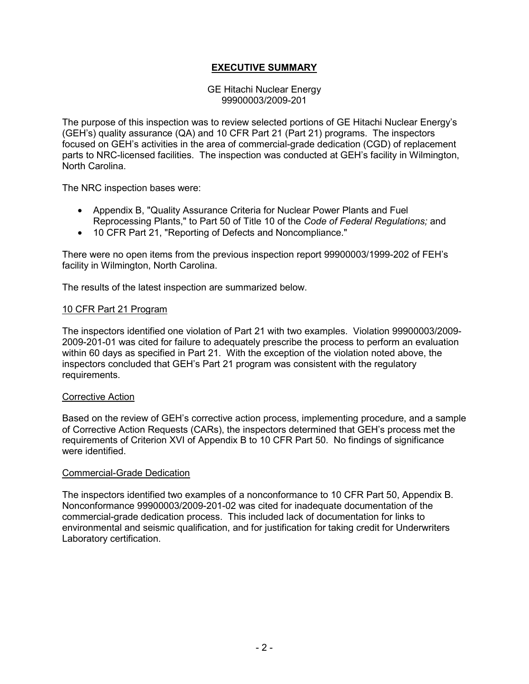## **EXECUTIVE SUMMARY**

#### GE Hitachi Nuclear Energy 99900003/2009-201

The purpose of this inspection was to review selected portions of GE Hitachi Nuclear Energy's (GEH's) quality assurance (QA) and 10 CFR Part 21 (Part 21) programs. The inspectors focused on GEH's activities in the area of commercial-grade dedication (CGD) of replacement parts to NRC-licensed facilities. The inspection was conducted at GEH's facility in Wilmington, North Carolina.

The NRC inspection bases were:

- Appendix B, "Quality Assurance Criteria for Nuclear Power Plants and Fuel Reprocessing Plants," to Part 50 of Title 10 of the *Code of Federal Regulations;* and
- 10 CFR Part 21, "Reporting of Defects and Noncompliance."

There were no open items from the previous inspection report 99900003/1999-202 of FEH's facility in Wilmington, North Carolina.

The results of the latest inspection are summarized below.

### 10 CFR Part 21 Program

The inspectors identified one violation of Part 21 with two examples. Violation 99900003/2009- 2009-201-01 was cited for failure to adequately prescribe the process to perform an evaluation within 60 days as specified in Part 21. With the exception of the violation noted above, the inspectors concluded that GEH's Part 21 program was consistent with the regulatory requirements.

#### Corrective Action

Based on the review of GEH's corrective action process, implementing procedure, and a sample of Corrective Action Requests (CARs), the inspectors determined that GEH's process met the requirements of Criterion XVI of Appendix B to 10 CFR Part 50. No findings of significance were identified.

#### Commercial-Grade Dedication

The inspectors identified two examples of a nonconformance to 10 CFR Part 50, Appendix B. Nonconformance 99900003/2009-201-02 was cited for inadequate documentation of the commercial-grade dedication process. This included lack of documentation for links to environmental and seismic qualification, and for justification for taking credit for Underwriters Laboratory certification.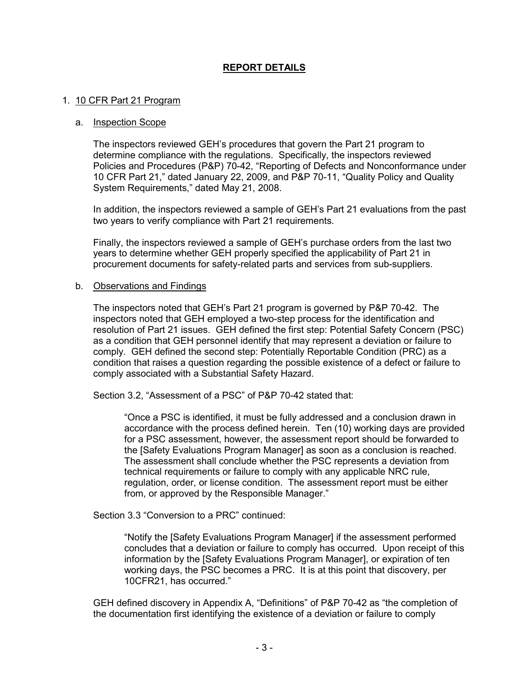## **REPORT DETAILS**

#### 1. 10 CFR Part 21 Program

#### a. Inspection Scope

The inspectors reviewed GEH's procedures that govern the Part 21 program to determine compliance with the regulations. Specifically, the inspectors reviewed Policies and Procedures (P&P) 70-42, "Reporting of Defects and Nonconformance under 10 CFR Part 21," dated January 22, 2009, and P&P 70-11, "Quality Policy and Quality System Requirements," dated May 21, 2008.

In addition, the inspectors reviewed a sample of GEH's Part 21 evaluations from the past two years to verify compliance with Part 21 requirements.

Finally, the inspectors reviewed a sample of GEH's purchase orders from the last two years to determine whether GEH properly specified the applicability of Part 21 in procurement documents for safety-related parts and services from sub-suppliers.

#### b. Observations and Findings

The inspectors noted that GEH's Part 21 program is governed by P&P 70-42. The inspectors noted that GEH employed a two-step process for the identification and resolution of Part 21 issues. GEH defined the first step: Potential Safety Concern (PSC) as a condition that GEH personnel identify that may represent a deviation or failure to comply. GEH defined the second step: Potentially Reportable Condition (PRC) as a condition that raises a question regarding the possible existence of a defect or failure to comply associated with a Substantial Safety Hazard.

Section 3.2, "Assessment of a PSC" of P&P 70-42 stated that:

"Once a PSC is identified, it must be fully addressed and a conclusion drawn in accordance with the process defined herein. Ten (10) working days are provided for a PSC assessment, however, the assessment report should be forwarded to the [Safety Evaluations Program Manager] as soon as a conclusion is reached. The assessment shall conclude whether the PSC represents a deviation from technical requirements or failure to comply with any applicable NRC rule, regulation, order, or license condition. The assessment report must be either from, or approved by the Responsible Manager."

Section 3.3 "Conversion to a PRC" continued:

"Notify the [Safety Evaluations Program Manager] if the assessment performed concludes that a deviation or failure to comply has occurred. Upon receipt of this information by the [Safety Evaluations Program Manager], or expiration of ten working days, the PSC becomes a PRC. It is at this point that discovery, per 10CFR21, has occurred."

GEH defined discovery in Appendix A, "Definitions" of P&P 70-42 as "the completion of the documentation first identifying the existence of a deviation or failure to comply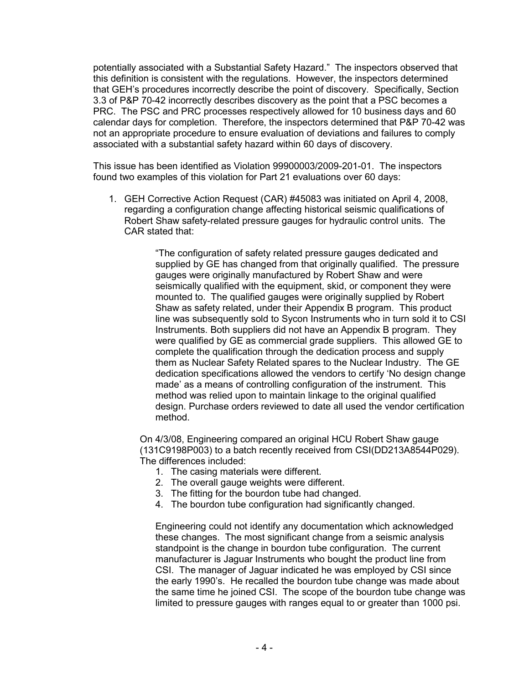potentially associated with a Substantial Safety Hazard." The inspectors observed that this definition is consistent with the regulations. However, the inspectors determined that GEH's procedures incorrectly describe the point of discovery. Specifically, Section 3.3 of P&P 70-42 incorrectly describes discovery as the point that a PSC becomes a PRC. The PSC and PRC processes respectively allowed for 10 business days and 60 calendar days for completion. Therefore, the inspectors determined that P&P 70-42 was not an appropriate procedure to ensure evaluation of deviations and failures to comply associated with a substantial safety hazard within 60 days of discovery.

This issue has been identified as Violation 99900003/2009-201-01. The inspectors found two examples of this violation for Part 21 evaluations over 60 days:

1. GEH Corrective Action Request (CAR) #45083 was initiated on April 4, 2008, regarding a configuration change affecting historical seismic qualifications of Robert Shaw safety-related pressure gauges for hydraulic control units. The CAR stated that:

> "The configuration of safety related pressure gauges dedicated and supplied by GE has changed from that originally qualified. The pressure gauges were originally manufactured by Robert Shaw and were seismically qualified with the equipment, skid, or component they were mounted to. The qualified gauges were originally supplied by Robert Shaw as safety related, under their Appendix B program. This product line was subsequently sold to Sycon Instruments who in turn sold it to CSI Instruments. Both suppliers did not have an Appendix B program. They were qualified by GE as commercial grade suppliers. This allowed GE to complete the qualification through the dedication process and supply them as Nuclear Safety Related spares to the Nuclear Industry. The GE dedication specifications allowed the vendors to certify 'No design change made' as a means of controlling configuration of the instrument. This method was relied upon to maintain linkage to the original qualified design. Purchase orders reviewed to date all used the vendor certification method.

On 4/3/08, Engineering compared an original HCU Robert Shaw gauge (131C9198P003) to a batch recently received from CSI(DD213A8544P029). The differences included:

- 1. The casing materials were different.
- 2. The overall gauge weights were different.
- 3. The fitting for the bourdon tube had changed.
- 4. The bourdon tube configuration had significantly changed.

Engineering could not identify any documentation which acknowledged these changes. The most significant change from a seismic analysis standpoint is the change in bourdon tube configuration. The current manufacturer is Jaguar Instruments who bought the product line from CSI. The manager of Jaguar indicated he was employed by CSI since the early 1990's. He recalled the bourdon tube change was made about the same time he joined CSI. The scope of the bourdon tube change was limited to pressure gauges with ranges equal to or greater than 1000 psi.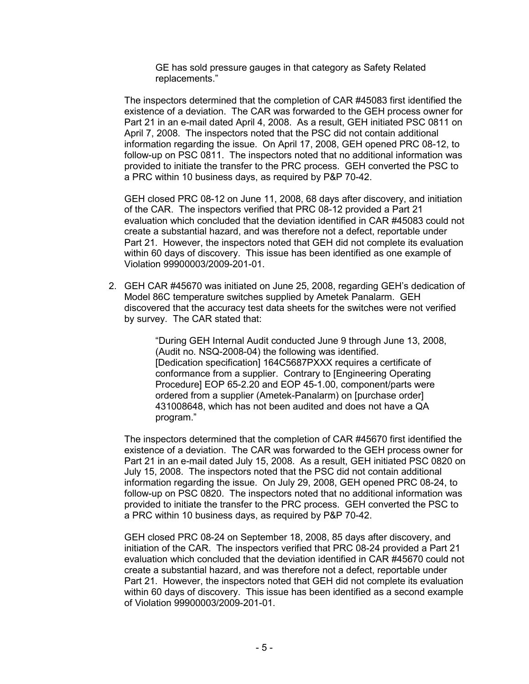GE has sold pressure gauges in that category as Safety Related replacements."

The inspectors determined that the completion of CAR #45083 first identified the existence of a deviation. The CAR was forwarded to the GEH process owner for Part 21 in an e-mail dated April 4, 2008. As a result, GEH initiated PSC 0811 on April 7, 2008. The inspectors noted that the PSC did not contain additional information regarding the issue. On April 17, 2008, GEH opened PRC 08-12, to follow-up on PSC 0811. The inspectors noted that no additional information was provided to initiate the transfer to the PRC process. GEH converted the PSC to a PRC within 10 business days, as required by P&P 70-42.

GEH closed PRC 08-12 on June 11, 2008, 68 days after discovery, and initiation of the CAR. The inspectors verified that PRC 08-12 provided a Part 21 evaluation which concluded that the deviation identified in CAR #45083 could not create a substantial hazard, and was therefore not a defect, reportable under Part 21. However, the inspectors noted that GEH did not complete its evaluation within 60 days of discovery. This issue has been identified as one example of Violation 99900003/2009-201-01.

2. GEH CAR #45670 was initiated on June 25, 2008, regarding GEH's dedication of Model 86C temperature switches supplied by Ametek Panalarm. GEH discovered that the accuracy test data sheets for the switches were not verified by survey. The CAR stated that:

> "During GEH Internal Audit conducted June 9 through June 13, 2008, (Audit no. NSQ-2008-04) the following was identified. [Dedication specification] 164C5687PXXX requires a certificate of conformance from a supplier. Contrary to [Engineering Operating Procedure] EOP 65-2.20 and EOP 45-1.00, component/parts were ordered from a supplier (Ametek-Panalarm) on [purchase order] 431008648, which has not been audited and does not have a QA program."

The inspectors determined that the completion of CAR #45670 first identified the existence of a deviation. The CAR was forwarded to the GEH process owner for Part 21 in an e-mail dated July 15, 2008. As a result, GEH initiated PSC 0820 on July 15, 2008. The inspectors noted that the PSC did not contain additional information regarding the issue. On July 29, 2008, GEH opened PRC 08-24, to follow-up on PSC 0820. The inspectors noted that no additional information was provided to initiate the transfer to the PRC process. GEH converted the PSC to a PRC within 10 business days, as required by P&P 70-42.

GEH closed PRC 08-24 on September 18, 2008, 85 days after discovery, and initiation of the CAR. The inspectors verified that PRC 08-24 provided a Part 21 evaluation which concluded that the deviation identified in CAR #45670 could not create a substantial hazard, and was therefore not a defect, reportable under Part 21. However, the inspectors noted that GEH did not complete its evaluation within 60 days of discovery. This issue has been identified as a second example of Violation 99900003/2009-201-01.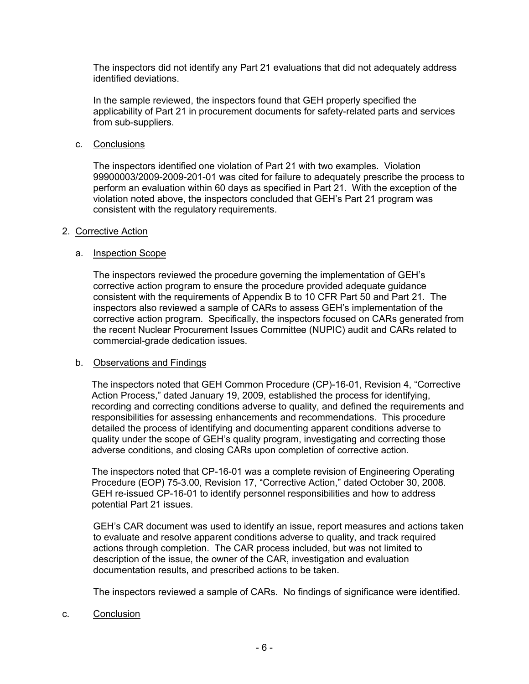The inspectors did not identify any Part 21 evaluations that did not adequately address identified deviations.

In the sample reviewed, the inspectors found that GEH properly specified the applicability of Part 21 in procurement documents for safety-related parts and services from sub-suppliers.

c. Conclusions

The inspectors identified one violation of Part 21 with two examples. Violation 99900003/2009-2009-201-01 was cited for failure to adequately prescribe the process to perform an evaluation within 60 days as specified in Part 21. With the exception of the violation noted above, the inspectors concluded that GEH's Part 21 program was consistent with the regulatory requirements.

### 2. Corrective Action

### a. Inspection Scope

The inspectors reviewed the procedure governing the implementation of GEH's corrective action program to ensure the procedure provided adequate guidance consistent with the requirements of Appendix B to 10 CFR Part 50 and Part 21. The inspectors also reviewed a sample of CARs to assess GEH's implementation of the corrective action program. Specifically, the inspectors focused on CARs generated from the recent Nuclear Procurement Issues Committee (NUPIC) audit and CARs related to commercial-grade dedication issues.

## b. Observations and Findings

The inspectors noted that GEH Common Procedure (CP)-16-01, Revision 4, "Corrective Action Process," dated January 19, 2009, established the process for identifying, recording and correcting conditions adverse to quality, and defined the requirements and responsibilities for assessing enhancements and recommendations. This procedure detailed the process of identifying and documenting apparent conditions adverse to quality under the scope of GEH's quality program, investigating and correcting those adverse conditions, and closing CARs upon completion of corrective action.

The inspectors noted that CP-16-01 was a complete revision of Engineering Operating Procedure (EOP) 75-3.00, Revision 17, "Corrective Action," dated October 30, 2008. GEH re-issued CP-16-01 to identify personnel responsibilities and how to address potential Part 21 issues.

GEH's CAR document was used to identify an issue, report measures and actions taken to evaluate and resolve apparent conditions adverse to quality, and track required actions through completion. The CAR process included, but was not limited to description of the issue, the owner of the CAR, investigation and evaluation documentation results, and prescribed actions to be taken.

The inspectors reviewed a sample of CARs. No findings of significance were identified.

c. Conclusion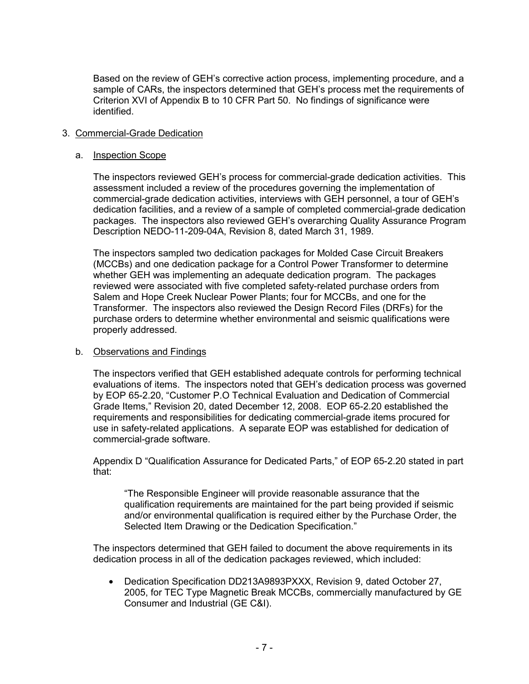Based on the review of GEH's corrective action process, implementing procedure, and a sample of CARs, the inspectors determined that GEH's process met the requirements of Criterion XVI of Appendix B to 10 CFR Part 50. No findings of significance were identified.

## 3. Commercial-Grade Dedication

#### a. Inspection Scope

The inspectors reviewed GEH's process for commercial-grade dedication activities. This assessment included a review of the procedures governing the implementation of commercial-grade dedication activities, interviews with GEH personnel, a tour of GEH's dedication facilities, and a review of a sample of completed commercial-grade dedication packages. The inspectors also reviewed GEH's overarching Quality Assurance Program Description NEDO-11-209-04A, Revision 8, dated March 31, 1989.

The inspectors sampled two dedication packages for Molded Case Circuit Breakers (MCCBs) and one dedication package for a Control Power Transformer to determine whether GEH was implementing an adequate dedication program. The packages reviewed were associated with five completed safety-related purchase orders from Salem and Hope Creek Nuclear Power Plants; four for MCCBs, and one for the Transformer. The inspectors also reviewed the Design Record Files (DRFs) for the purchase orders to determine whether environmental and seismic qualifications were properly addressed.

#### b. Observations and Findings

The inspectors verified that GEH established adequate controls for performing technical evaluations of items. The inspectors noted that GEH's dedication process was governed by EOP 65-2.20, "Customer P.O Technical Evaluation and Dedication of Commercial Grade Items," Revision 20, dated December 12, 2008. EOP 65-2.20 established the requirements and responsibilities for dedicating commercial-grade items procured for use in safety-related applications. A separate EOP was established for dedication of commercial-grade software.

Appendix D "Qualification Assurance for Dedicated Parts," of EOP 65-2.20 stated in part that:

"The Responsible Engineer will provide reasonable assurance that the qualification requirements are maintained for the part being provided if seismic and/or environmental qualification is required either by the Purchase Order, the Selected Item Drawing or the Dedication Specification."

The inspectors determined that GEH failed to document the above requirements in its dedication process in all of the dedication packages reviewed, which included:

• Dedication Specification DD213A9893PXXX, Revision 9, dated October 27, 2005, for TEC Type Magnetic Break MCCBs, commercially manufactured by GE Consumer and Industrial (GE C&I).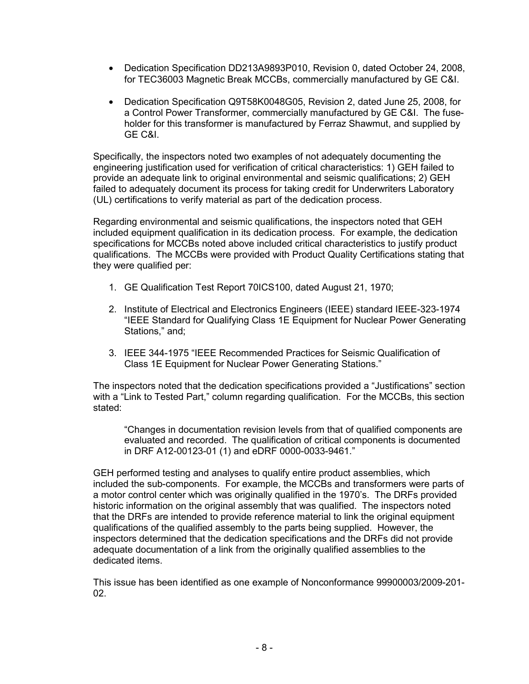- Dedication Specification DD213A9893P010, Revision 0, dated October 24, 2008, for TEC36003 Magnetic Break MCCBs, commercially manufactured by GE C&I.
- Dedication Specification Q9T58K0048G05, Revision 2, dated June 25, 2008, for a Control Power Transformer, commercially manufactured by GE C&I. The fuseholder for this transformer is manufactured by Ferraz Shawmut, and supplied by GE C&I.

Specifically, the inspectors noted two examples of not adequately documenting the engineering justification used for verification of critical characteristics: 1) GEH failed to provide an adequate link to original environmental and seismic qualifications; 2) GEH failed to adequately document its process for taking credit for Underwriters Laboratory (UL) certifications to verify material as part of the dedication process.

Regarding environmental and seismic qualifications, the inspectors noted that GEH included equipment qualification in its dedication process. For example, the dedication specifications for MCCBs noted above included critical characteristics to justify product qualifications. The MCCBs were provided with Product Quality Certifications stating that they were qualified per:

- 1. GE Qualification Test Report 70ICS100, dated August 21, 1970;
- 2. Institute of Electrical and Electronics Engineers (IEEE) standard IEEE-323-1974 "IEEE Standard for Qualifying Class 1E Equipment for Nuclear Power Generating Stations," and;
- 3. IEEE 344-1975 "IEEE Recommended Practices for Seismic Qualification of Class 1E Equipment for Nuclear Power Generating Stations."

The inspectors noted that the dedication specifications provided a "Justifications" section with a "Link to Tested Part," column regarding qualification. For the MCCBs, this section stated:

"Changes in documentation revision levels from that of qualified components are evaluated and recorded. The qualification of critical components is documented in DRF A12-00123-01 (1) and eDRF 0000-0033-9461."

GEH performed testing and analyses to qualify entire product assemblies, which included the sub-components. For example, the MCCBs and transformers were parts of a motor control center which was originally qualified in the 1970's. The DRFs provided historic information on the original assembly that was qualified. The inspectors noted that the DRFs are intended to provide reference material to link the original equipment qualifications of the qualified assembly to the parts being supplied. However, the inspectors determined that the dedication specifications and the DRFs did not provide adequate documentation of a link from the originally qualified assemblies to the dedicated items.

This issue has been identified as one example of Nonconformance 99900003/2009-201- 02.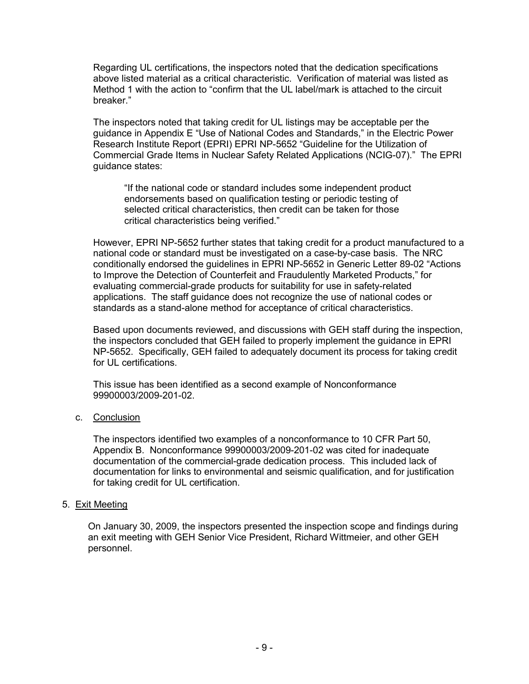Regarding UL certifications, the inspectors noted that the dedication specifications above listed material as a critical characteristic. Verification of material was listed as Method 1 with the action to "confirm that the UL label/mark is attached to the circuit breaker."

The inspectors noted that taking credit for UL listings may be acceptable per the guidance in Appendix E "Use of National Codes and Standards," in the Electric Power Research Institute Report (EPRI) EPRI NP-5652 "Guideline for the Utilization of Commercial Grade Items in Nuclear Safety Related Applications (NCIG-07)." The EPRI guidance states:

"If the national code or standard includes some independent product endorsements based on qualification testing or periodic testing of selected critical characteristics, then credit can be taken for those critical characteristics being verified."

However, EPRI NP-5652 further states that taking credit for a product manufactured to a national code or standard must be investigated on a case-by-case basis. The NRC conditionally endorsed the guidelines in EPRI NP-5652 in Generic Letter 89-02 "Actions to Improve the Detection of Counterfeit and Fraudulently Marketed Products," for evaluating commercial-grade products for suitability for use in safety-related applications. The staff guidance does not recognize the use of national codes or standards as a stand-alone method for acceptance of critical characteristics.

Based upon documents reviewed, and discussions with GEH staff during the inspection, the inspectors concluded that GEH failed to properly implement the guidance in EPRI NP-5652. Specifically, GEH failed to adequately document its process for taking credit for UL certifications.

This issue has been identified as a second example of Nonconformance 99900003/2009-201-02.

## c. Conclusion

The inspectors identified two examples of a nonconformance to 10 CFR Part 50, Appendix B. Nonconformance 99900003/2009-201-02 was cited for inadequate documentation of the commercial-grade dedication process. This included lack of documentation for links to environmental and seismic qualification, and for justification for taking credit for UL certification.

## 5. Exit Meeting

On January 30, 2009, the inspectors presented the inspection scope and findings during an exit meeting with GEH Senior Vice President, Richard Wittmeier, and other GEH personnel.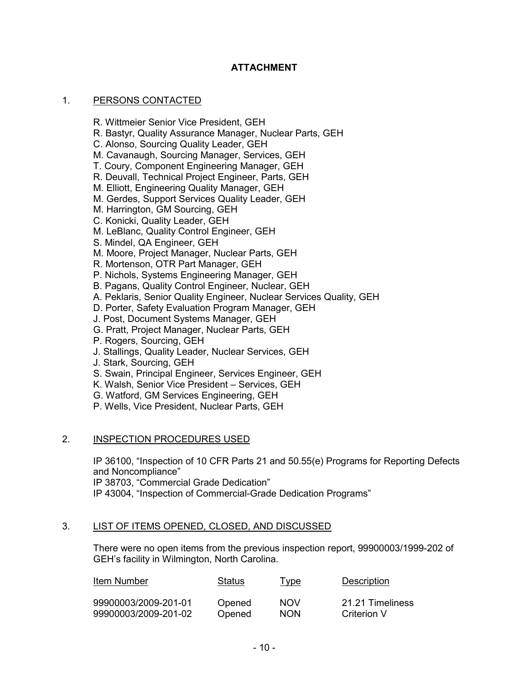## **ATTACHMENT**

## 1. PERSONS CONTACTED

R. Wittmeier Senior Vice President, GEH

- R. Bastyr, Quality Assurance Manager, Nuclear Parts, GEH
- C. Alonso, Sourcing Quality Leader, GEH
- M. Cavanaugh, Sourcing Manager, Services, GEH
- T. Coury, Component Engineering Manager, GEH
- R. Deuvall, Technical Project Engineer, Parts, GEH
- M. Elliott, Engineering Quality Manager, GEH
- M. Gerdes, Support Services Quality Leader, GEH
- M. Harrington, GM Sourcing, GEH
- C. Konicki, Quality Leader, GEH
- M. LeBlanc, Quality Control Engineer, GEH
- S. Mindel, QA Engineer, GEH
- M. Moore, Project Manager, Nuclear Parts, GEH
- R. Mortenson, OTR Part Manager, GEH
- P. Nichols, Systems Engineering Manager, GEH
- B. Pagans, Quality Control Engineer, Nuclear, GEH
- A. Peklaris, Senior Quality Engineer, Nuclear Services Quality, GEH
- D. Porter, Safety Evaluation Program Manager, GEH
- J. Post, Document Systems Manager, GEH
- G. Pratt, Project Manager, Nuclear Parts, GEH
- P. Rogers, Sourcing, GEH
- J. Stallings, Quality Leader, Nuclear Services, GEH
- J. Stark, Sourcing, GEH
- S. Swain, Principal Engineer, Services Engineer, GEH
- K. Walsh, Senior Vice President Services, GEH
- G. Watford, GM Services Engineering, GEH
- P. Wells, Vice President, Nuclear Parts, GEH

#### 2. INSPECTION PROCEDURES USED

IP 36100, "Inspection of 10 CFR Parts 21 and 50.55(e) Programs for Reporting Defects and Noncompliance"

IP 38703, "Commercial Grade Dedication"

IP 43004, "Inspection of Commercial-Grade Dedication Programs"

#### 3. LIST OF ITEMS OPENED, CLOSED, AND DISCUSSED

There were no open items from the previous inspection report, 99900003/1999-202 of GEH's facility in Wilmington, North Carolina.

| Item Number          | Status | Type       | Description      |
|----------------------|--------|------------|------------------|
| 99900003/2009-201-01 | Opened | <b>NOV</b> | 21.21 Timeliness |
| 99900003/2009-201-02 | Opened | <b>NON</b> | Criterion V      |